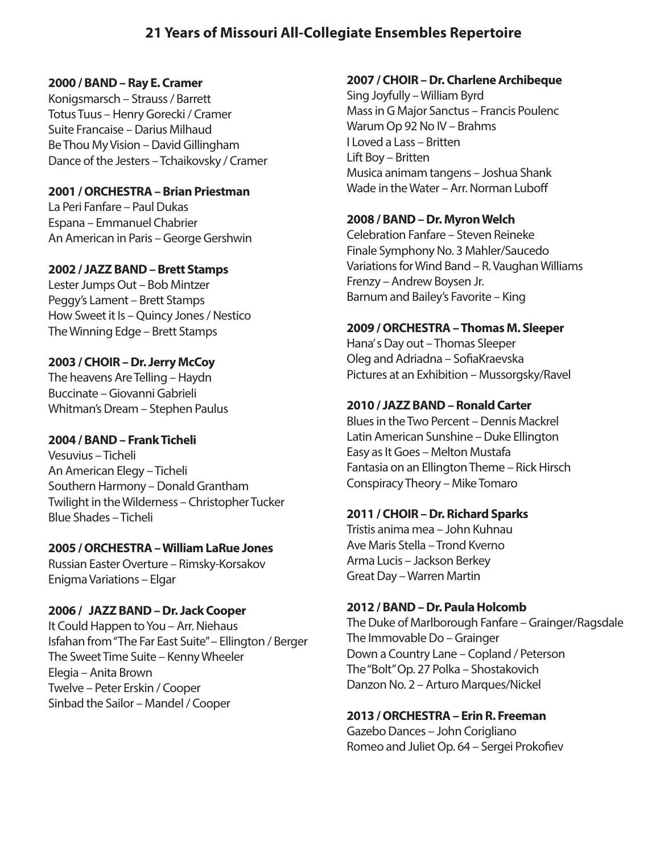# **21 Years of Missouri All-Collegiate Ensembles Repertoire**

#### **2000 / BAND – Ray E. Cramer**

Konigsmarsch – Strauss / Barrett Totus Tuus – Henry Gorecki / Cramer Suite Francaise – Darius Milhaud Be Thou My Vision – David Gillingham Dance of the Jesters – Tchaikovsky / Cramer

### **2001 / ORCHESTRA – Brian Priestman**

La Peri Fanfare – Paul Dukas Espana – Emmanuel Chabrier An American in Paris – George Gershwin

#### **2002 / JAZZ BAND – Brett Stamps**

Lester Jumps Out – Bob Mintzer Peggy's Lament – Brett Stamps How Sweet it Is – Quincy Jones / Nestico The Winning Edge – Brett Stamps

### **2003 / CHOIR – Dr. Jerry McCoy**

The heavens Are Telling – Haydn Buccinate – Giovanni Gabrieli Whitman's Dream – Stephen Paulus

### **2004 / BAND – Frank Ticheli**

Vesuvius – Ticheli An American Elegy – Ticheli Southern Harmony – Donald Grantham Twilight in the Wilderness – Christopher Tucker Blue Shades – Ticheli

### **2005 / ORCHESTRA – William LaRue Jones**

Russian Easter Overture – Rimsky-Korsakov Enigma Variations – Elgar

### **2006 / JAZZ BAND – Dr. Jack Cooper**

It Could Happen to You – Arr. Niehaus Isfahan from "The Far East Suite" – Ellington / Berger The Sweet Time Suite – Kenny Wheeler Elegia – Anita Brown Twelve – Peter Erskin / Cooper Sinbad the Sailor – Mandel / Cooper

### **2007 / CHOIR – Dr. Charlene Archibeque**

Sing Joyfully – William Byrd Mass in G Major Sanctus – Francis Poulenc Warum Op 92 No IV – Brahms I Loved a Lass – Britten Lift Boy – Britten Musica animam tangens – Joshua Shank Wade in the Water – Arr. Norman Luboff

#### **2008 / BAND – Dr. Myron Welch**

Celebration Fanfare – Steven Reineke Finale Symphony No. 3 Mahler/Saucedo Variations for Wind Band – R. Vaughan Williams Frenzy – Andrew Boysen Jr. Barnum and Bailey's Favorite – King

#### **2009 / ORCHESTRA – Thomas M. Sleeper**

Hana' s Day out – Thomas Sleeper Oleg and Adriadna – SofiaKraevska Pictures at an Exhibition – Mussorgsky/Ravel

### **2010 / JAZZ BAND – Ronald Carter**

Blues in the Two Percent – Dennis Mackrel Latin American Sunshine – Duke Ellington Easy as It Goes – Melton Mustafa Fantasia on an Ellington Theme – Rick Hirsch Conspiracy Theory – Mike Tomaro

#### **2011 / CHOIR – Dr. Richard Sparks**

Tristis anima mea – John Kuhnau Ave Maris Stella – Trond Kverno Arma Lucis – Jackson Berkey Great Day – Warren Martin

#### **2012 / BAND – Dr. Paula Holcomb**

The Duke of Marlborough Fanfare – Grainger/Ragsdale The Immovable Do – Grainger Down a Country Lane – Copland / Peterson The "Bolt" Op. 27 Polka – Shostakovich Danzon No. 2 – Arturo Marques/Nickel

### **2013 / ORCHESTRA – Erin R. Freeman**

Gazebo Dances – John Corigliano Romeo and Juliet Op. 64 - Sergei Prokofiev